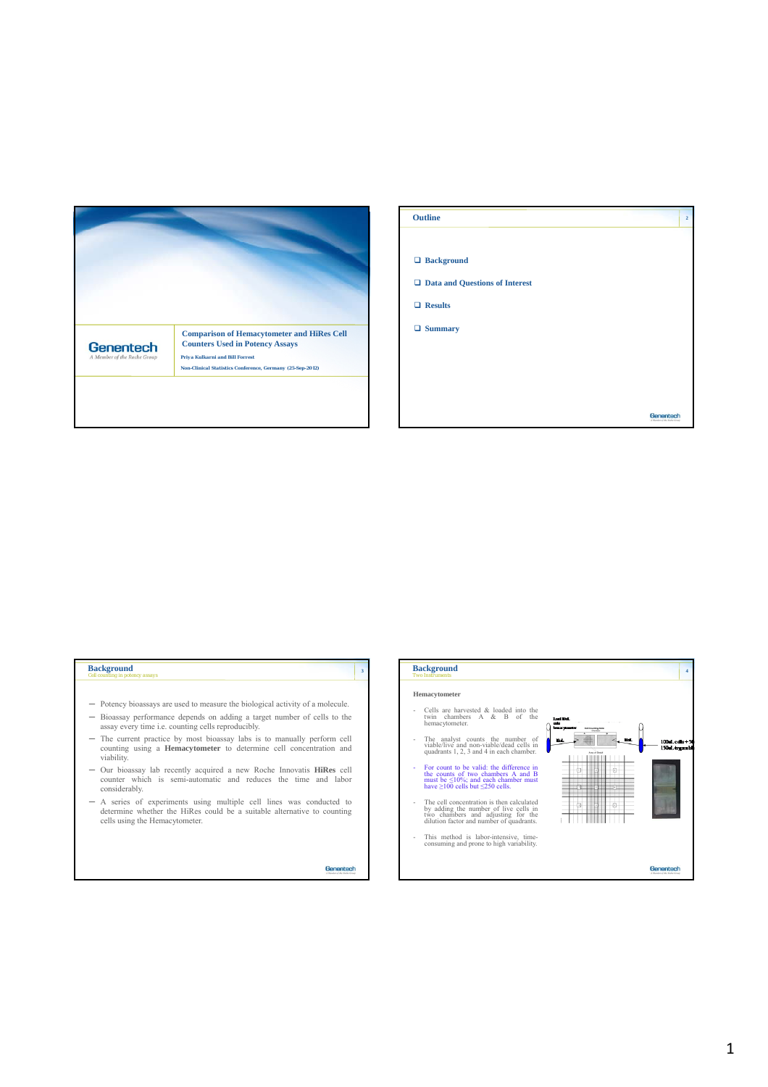

| <b>Outline</b>                   | $\bf{2}$                                 |
|----------------------------------|------------------------------------------|
|                                  |                                          |
| □ Background                     |                                          |
| □ Data and Questions of Interest |                                          |
| $\Box$ Results                   |                                          |
| $\Box$ Summary                   |                                          |
|                                  |                                          |
|                                  |                                          |
|                                  |                                          |
|                                  | Genentech<br>A Monday of the Rocky Group |

## *Cell counting in potency assays* **Background**

- ─ Potency bioassays are used to measure the biological activity of a molecule.
- ─ Bioassay performance depends on adding a target number of cells to the assay every time i.e. counting cells reproducibly.
- The current practice by most bioassay labs is to manually perform cell counting using a **Hemacytometer** to determine cell concentration and viability.
- ─ Our bioassay lab recently acquired a new Roche Innovatis **HiRes** cell counter which is semi-automatic and reduces the time and labor considerably.
- ─ A series of experiments using multiple cell lines was conducted to determine whether the HiRes could be a suitable alternative to counting cells using the Hemacytometer.

Genentech

**<sup>3</sup> Background**

**Hemacytometer**

- 
- This method is labor-intensive, time-consuming and prone to high variability.

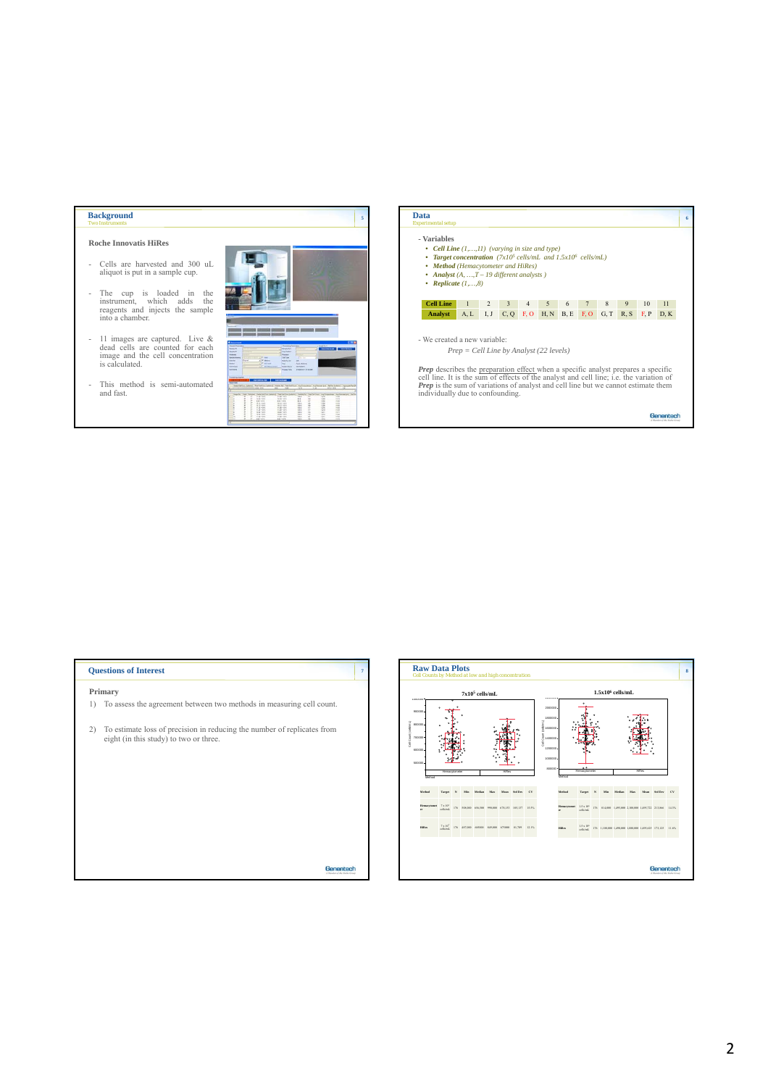## **Background**

## **Roche Innovatis HiRes**

- Cells are harvested and 300 uL aliquot is put in a sample cup.
- The cup is loaded in the instrument, which adds the reagents and injects the sample into a chamber.
- 11 images are captured. Live & dead cells are counted for each image and the cell concentration is calculated.
- This method is semi-automated and fast.





## **Questions of Interest Primary** 1) To assess the agreement between two methods in measuring cell count. 2) To estimate loss of precision in reducing the number of replicates from eight (in this study) to two or three. Genentech

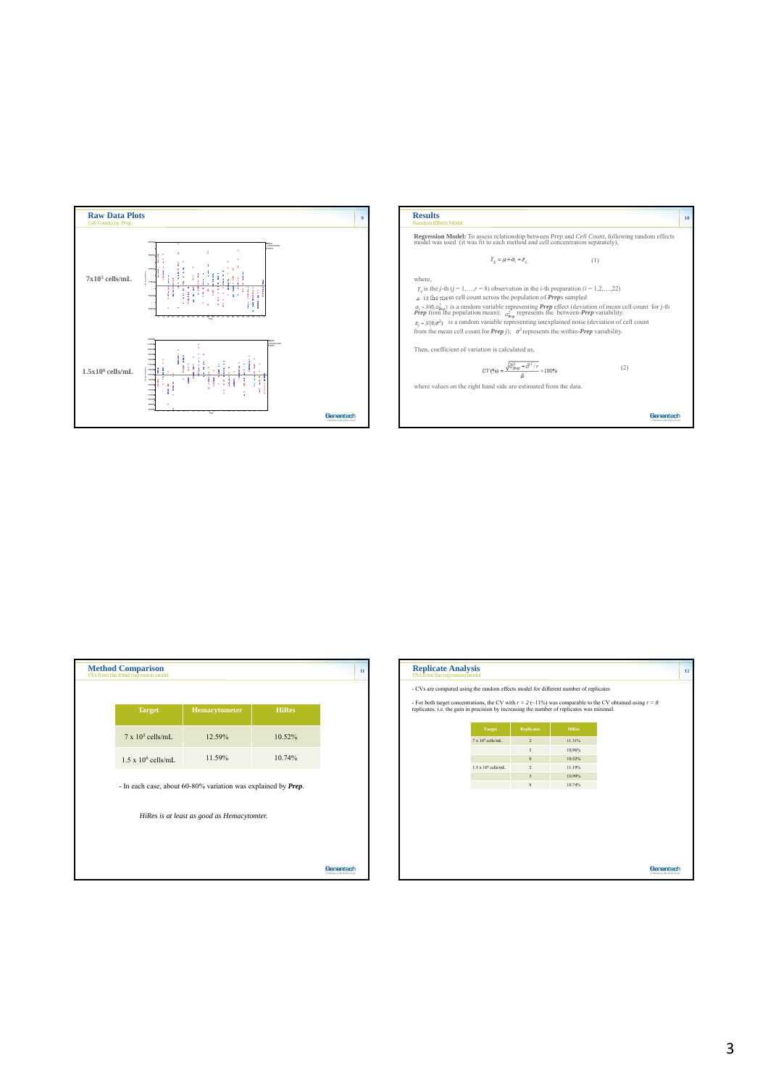

|                                                  | model was used (it was fit to each method and cell concentration separately),                                                 | <b>Regression Model:</b> To assess relationship between <i>Prep</i> and <i>Cell Count</i> , following random effects                                                                                                                                            |          |
|--------------------------------------------------|-------------------------------------------------------------------------------------------------------------------------------|-----------------------------------------------------------------------------------------------------------------------------------------------------------------------------------------------------------------------------------------------------------------|----------|
|                                                  |                                                                                                                               |                                                                                                                                                                                                                                                                 |          |
|                                                  | $Y_{ii} = \mu + \alpha_i + \varepsilon_{ii}$                                                                                  | (1)                                                                                                                                                                                                                                                             |          |
| where.                                           |                                                                                                                               |                                                                                                                                                                                                                                                                 |          |
|                                                  | $Y_{ii}$ is the <i>j</i> -th ( <i>j</i> = 1,, <i>r</i> = 8) observation in the <i>i</i> -th preparation ( <i>i</i> = 1,2,,22) |                                                                                                                                                                                                                                                                 |          |
|                                                  | $\mu$ is the mean cell count across the population of <i>Preps</i> sampled                                                    |                                                                                                                                                                                                                                                                 |          |
|                                                  |                                                                                                                               | $\alpha_i \sim N(0, \sigma_{\text{pug}}^2)$ is a random variable representing <i>Prep</i> effect (deviation of mean cell count for <i>j</i> -th <i>Prep</i> from the population mean); $\sigma_{\text{pug}}^2$ represents the between- <i>Prep</i> variability. |          |
|                                                  |                                                                                                                               | $\varepsilon_n \sim N(0, \sigma^2)$ is a random variable representing unexplained noise (deviation of cell count                                                                                                                                                |          |
|                                                  | from the mean cell count for <i>Prep i</i> ); $\sigma^2$ represents the within- <i>Prep</i> variability.                      |                                                                                                                                                                                                                                                                 |          |
| Then, coefficient of variation is calculated as. |                                                                                                                               |                                                                                                                                                                                                                                                                 |          |
|                                                  | $CV(\%) = \frac{\sqrt{\widehat{\sigma}^2_{\text{Prep}} + \widehat{\sigma}^2/r}}{n} \times 100\%$                              | (2)                                                                                                                                                                                                                                                             |          |
|                                                  | where values on the right hand side are estimated from the data.                                                              |                                                                                                                                                                                                                                                                 |          |
|                                                  |                                                                                                                               |                                                                                                                                                                                                                                                                 |          |
|                                                  |                                                                                                                               |                                                                                                                                                                                                                                                                 |          |
|                                                  |                                                                                                                               |                                                                                                                                                                                                                                                                 | Genentec |

| <b>Method Comparison</b><br>CVs from the fitted regression model |                                                               |              | 11 |
|------------------------------------------------------------------|---------------------------------------------------------------|--------------|----|
| <b>Target</b>                                                    | Hemacytometer                                                 | <b>HiRes</b> |    |
| $7 \times 10^5$ cells/mL                                         | 12.59%                                                        | 10.52%       |    |
| $1.5 \times 10^6$ cells/mL                                       | 11.59%                                                        | 10.74%       |    |
|                                                                  | - In each case, about 60-80% variation was explained by Prep. |              |    |
|                                                                  | HiRes is at least as good as Hemacytomter.                    |              |    |
|                                                                  |                                                               |              |    |
|                                                                  |                                                               |              |    |

| <b>Replicate Analysis</b><br>CVs from the regression model                                 |                             |                         |              | 12                                                                                                           |
|--------------------------------------------------------------------------------------------|-----------------------------|-------------------------|--------------|--------------------------------------------------------------------------------------------------------------|
| - CVs are computed using the random effects model for different number of replicates       |                             |                         |              |                                                                                                              |
| replicates; i.e. the gain in precision by increasing the number of replicates was minimal. |                             |                         |              | - For both target concentrations, the CV with $r = 2(-11\%)$ was comparable to the CV obtained using $r = 8$ |
|                                                                                            | Target                      | <b>Replicates</b>       | <b>HiRes</b> |                                                                                                              |
|                                                                                            | $7 \times 10^5$ cells/mL    | $\overline{2}$          | 11.31%       |                                                                                                              |
|                                                                                            |                             | $\overline{\mathbf{3}}$ | 10.96%       |                                                                                                              |
|                                                                                            |                             | $\boldsymbol{8}$        | 10.52%       |                                                                                                              |
|                                                                                            | $1.5 \times 10^6$ cells/mL. | $\overline{2}$          | 11.19%       |                                                                                                              |
|                                                                                            |                             | $\overline{\mathbf{3}}$ | 10.99%       |                                                                                                              |
|                                                                                            |                             | $\bf 8$                 | 10.74%       |                                                                                                              |
|                                                                                            |                             |                         |              |                                                                                                              |
|                                                                                            |                             |                         |              |                                                                                                              |
|                                                                                            |                             |                         |              |                                                                                                              |
|                                                                                            |                             |                         |              |                                                                                                              |
|                                                                                            |                             |                         |              |                                                                                                              |
|                                                                                            |                             |                         |              |                                                                                                              |
|                                                                                            |                             |                         |              |                                                                                                              |
|                                                                                            |                             |                         |              |                                                                                                              |
|                                                                                            |                             |                         |              | Genentech<br>A Monday of the Rocke Group                                                                     |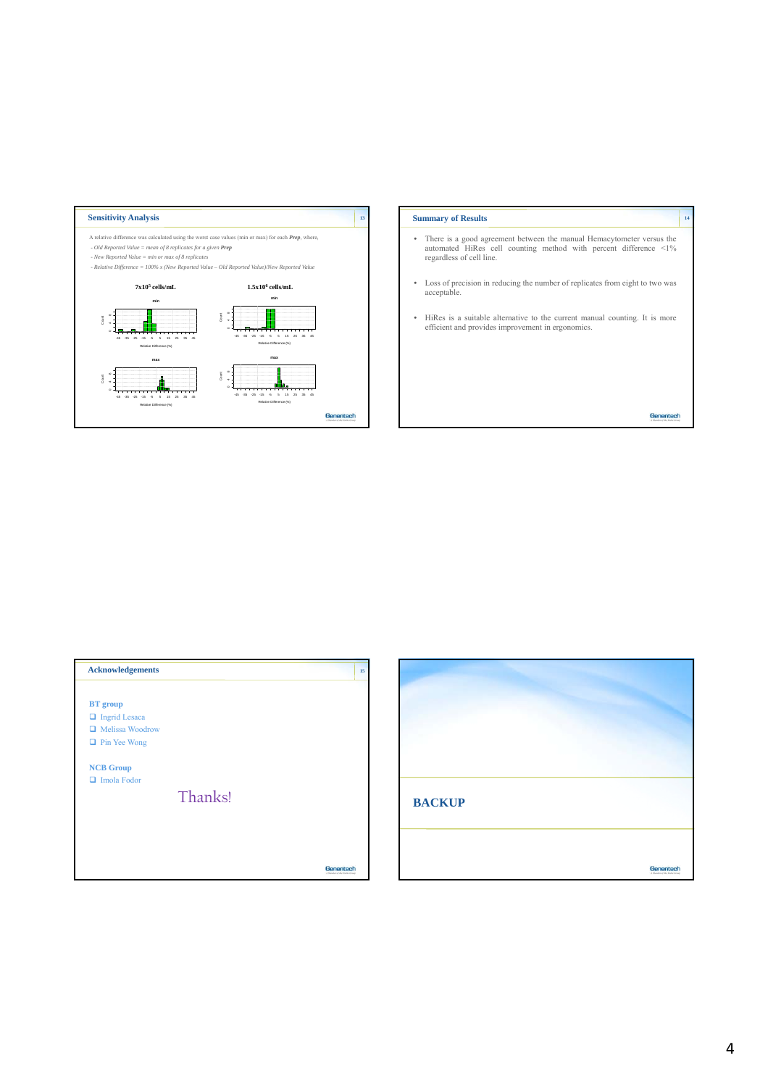

| <b>Summary of Results</b>                                                                                                                                             | 14 |
|-----------------------------------------------------------------------------------------------------------------------------------------------------------------------|----|
| There is a good agreement between the manual Hemacytometer versus the<br>automated HiRes cell counting method with percent difference <1%<br>regardless of cell line. |    |
| Loss of precision in reducing the number of replicates from eight to two was<br>acceptable.                                                                           |    |
| HiRes is a suitable alternative to the current manual counting. It is more<br>٠<br>efficient and provides improvement in ergonomics.                                  |    |
|                                                                                                                                                                       |    |
|                                                                                                                                                                       |    |
|                                                                                                                                                                       |    |



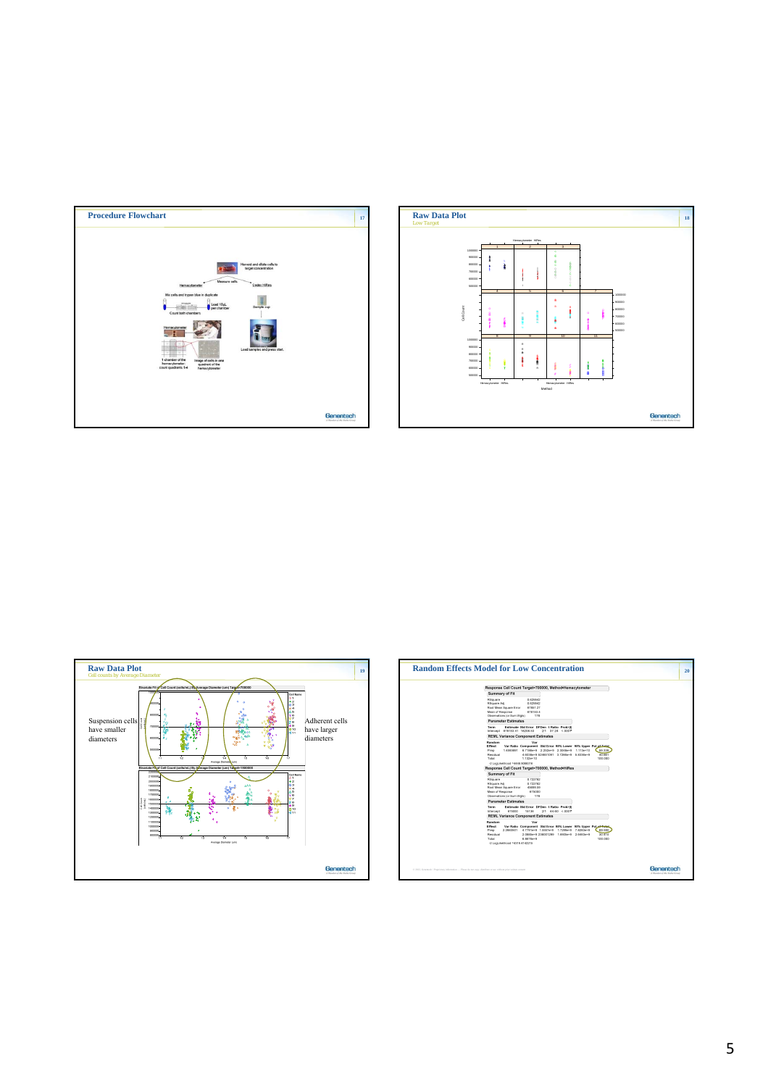